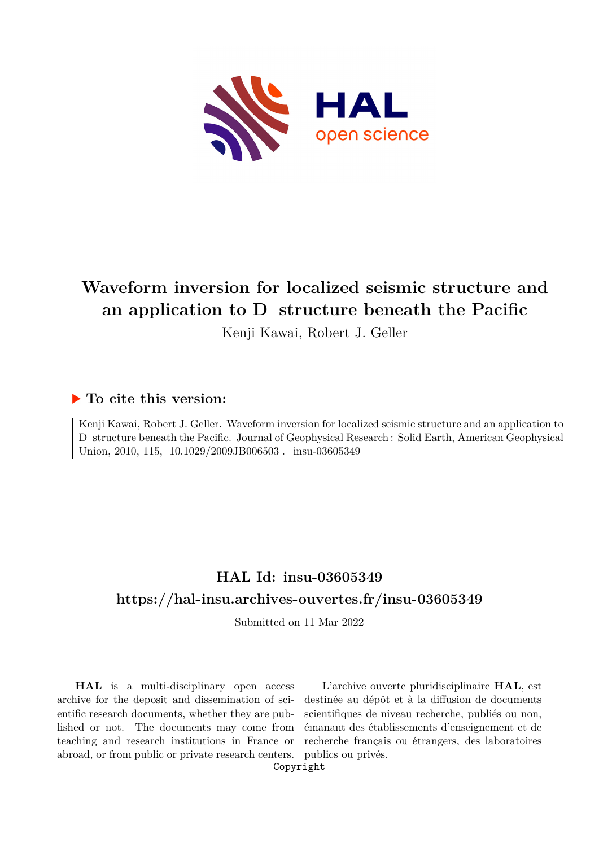

# **Waveform inversion for localized seismic structure and** an application to D structure beneath the Pacific

Kenji Kawai, Robert J. Geller

# **To cite this version:**

Kenji Kawai, Robert J. Geller. Waveform inversion for localized seismic structure and an application to D structure beneath the Pacific. Journal of Geophysical Research : Solid Earth, American Geophysical Union, 2010, 115, 10.1029/2009JB006503. insu-03605349

# **HAL Id: insu-03605349 <https://hal-insu.archives-ouvertes.fr/insu-03605349>**

Submitted on 11 Mar 2022

**HAL** is a multi-disciplinary open access archive for the deposit and dissemination of scientific research documents, whether they are published or not. The documents may come from teaching and research institutions in France or abroad, or from public or private research centers.

L'archive ouverte pluridisciplinaire **HAL**, est destinée au dépôt et à la diffusion de documents scientifiques de niveau recherche, publiés ou non, émanant des établissements d'enseignement et de recherche français ou étrangers, des laboratoires publics ou privés.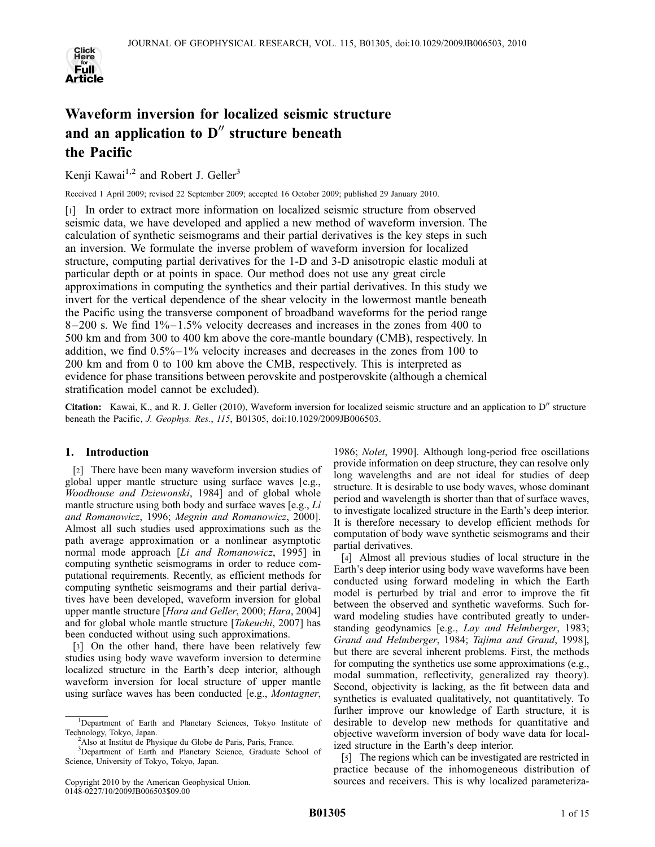

# Waveform inversion for localized seismic structure and an application to  $D''$  structure beneath the Pacific

Kenji Kawai<sup>1,2</sup> and Robert J. Geller<sup>3</sup>

Received 1 April 2009; revised 22 September 2009; accepted 16 October 2009; published 29 January 2010.

[1] In order to extract more information on localized seismic structure from observed seismic data, we have developed and applied a new method of waveform inversion. The calculation of synthetic seismograms and their partial derivatives is the key steps in such an inversion. We formulate the inverse problem of waveform inversion for localized structure, computing partial derivatives for the 1-D and 3-D anisotropic elastic moduli at particular depth or at points in space. Our method does not use any great circle approximations in computing the synthetics and their partial derivatives. In this study we invert for the vertical dependence of the shear velocity in the lowermost mantle beneath the Pacific using the transverse component of broadband waveforms for the period range  $8-200$  s. We find  $1\%-1.5\%$  velocity decreases and increases in the zones from 400 to 500 km and from 300 to 400 km above the core-mantle boundary (CMB), respectively. In addition, we find 0.5%–1% velocity increases and decreases in the zones from 100 to 200 km and from 0 to 100 km above the CMB, respectively. This is interpreted as evidence for phase transitions between perovskite and postperovskite (although a chemical stratification model cannot be excluded).

Citation: Kawai, K., and R. J. Geller (2010), Waveform inversion for localized seismic structure and an application to  $D''$  structure beneath the Pacific, J. Geophys. Res., 115, B01305, doi:10.1029/2009JB006503.

## 1. Introduction

[2] There have been many waveform inversion studies of global upper mantle structure using surface waves [e.g., Woodhouse and Dziewonski, 1984] and of global whole mantle structure using both body and surface waves [e.g., Li and Romanowicz, 1996; Megnin and Romanowicz, 2000]. Almost all such studies used approximations such as the path average approximation or a nonlinear asymptotic normal mode approach [Li and Romanowicz, 1995] in computing synthetic seismograms in order to reduce computational requirements. Recently, as efficient methods for computing synthetic seismograms and their partial derivatives have been developed, waveform inversion for global upper mantle structure [Hara and Geller, 2000; Hara, 2004] and for global whole mantle structure [Takeuchi, 2007] has been conducted without using such approximations.

[3] On the other hand, there have been relatively few studies using body wave waveform inversion to determine localized structure in the Earth's deep interior, although waveform inversion for local structure of upper mantle using surface waves has been conducted [e.g., Montagner,

1986; Nolet, 1990]. Although long-period free oscillations provide information on deep structure, they can resolve only long wavelengths and are not ideal for studies of deep structure. It is desirable to use body waves, whose dominant period and wavelength is shorter than that of surface waves, to investigate localized structure in the Earth's deep interior. It is therefore necessary to develop efficient methods for computation of body wave synthetic seismograms and their partial derivatives.

[4] Almost all previous studies of local structure in the Earth's deep interior using body wave waveforms have been conducted using forward modeling in which the Earth model is perturbed by trial and error to improve the fit between the observed and synthetic waveforms. Such forward modeling studies have contributed greatly to understanding geodynamics [e.g., Lay and Helmberger, 1983; Grand and Helmberger, 1984; Tajima and Grand, 1998], but there are several inherent problems. First, the methods for computing the synthetics use some approximations (e.g., modal summation, reflectivity, generalized ray theory). Second, objectivity is lacking, as the fit between data and synthetics is evaluated qualitatively, not quantitatively. To further improve our knowledge of Earth structure, it is desirable to develop new methods for quantitative and objective waveform inversion of body wave data for localized structure in the Earth's deep interior.

[5] The regions which can be investigated are restricted in practice because of the inhomogeneous distribution of sources and receivers. This is why localized parameteriza-

<sup>&</sup>lt;sup>1</sup>Department of Earth and Planetary Sciences, Tokyo Institute of Technology, Tokyo, Japan. <sup>2</sup>

<sup>&</sup>lt;sup>2</sup>Also at Institut de Physique du Globe de Paris, Paris, France.

<sup>&</sup>lt;sup>3</sup>Department of Earth and Planetary Science, Graduate School of Science, University of Tokyo, Tokyo, Japan.

Copyright 2010 by the American Geophysical Union. 0148-0227/10/2009JB006503\$09.00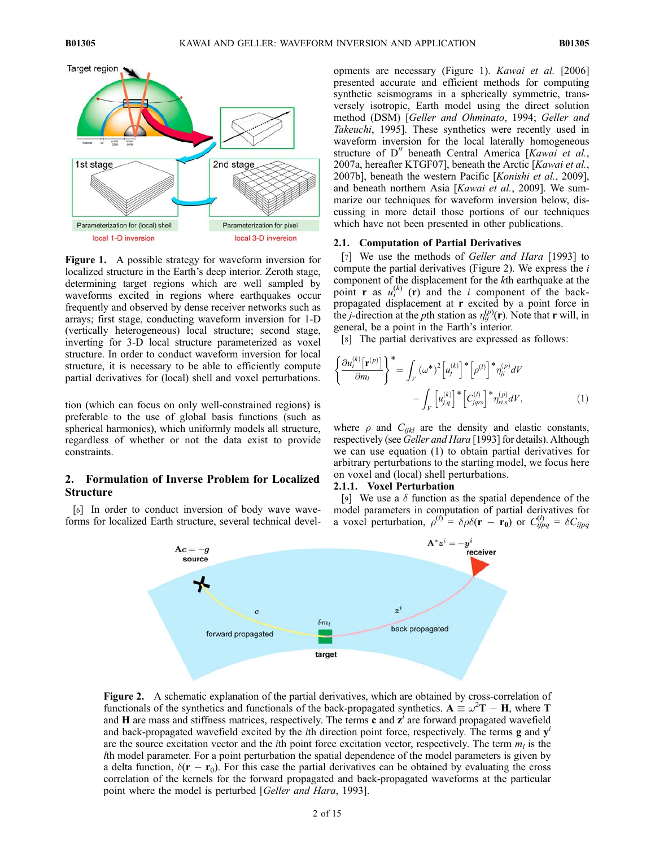

Figure 1. A possible strategy for waveform inversion for localized structure in the Earth's deep interior. Zeroth stage, determining target regions which are well sampled by waveforms excited in regions where earthquakes occur frequently and observed by dense receiver networks such as arrays; first stage, conducting waveform inversion for 1-D (vertically heterogeneous) local structure; second stage, inverting for 3-D local structure parameterized as voxel structure. In order to conduct waveform inversion for local structure, it is necessary to be able to efficiently compute partial derivatives for (local) shell and voxel perturbations.

tion (which can focus on only well-constrained regions) is preferable to the use of global basis functions (such as spherical harmonics), which uniformly models all structure, regardless of whether or not the data exist to provide constraints.

### 2. Formulation of Inverse Problem for Localized Structure

[6] In order to conduct inversion of body wave waveforms for localized Earth structure, several technical devel-

opments are necessary (Figure 1). Kawai et al. [2006] presented accurate and efficient methods for computing synthetic seismograms in a spherically symmetric, transversely isotropic, Earth model using the direct solution method (DSM) [Geller and Ohminato, 1994; Geller and Takeuchi, 1995]. These synthetics were recently used in waveform inversion for the local laterally homogeneous structure of  $D''$  beneath Central America [Kawai et al., 2007a, hereafter KTGF07], beneath the Arctic [Kawai et al., 2007b], beneath the western Pacific [Konishi et al., 2009], and beneath northern Asia [Kawai et al., 2009]. We summarize our techniques for waveform inversion below, discussing in more detail those portions of our techniques which have not been presented in other publications.

#### 2.1. Computation of Partial Derivatives

[7] We use the methods of *Geller and Hara* [1993] to compute the partial derivatives (Figure 2). We express the  $i$ component of the displacement for the kth earthquake at the point **r** as  $u_i^{(k)}$  (**r**) and the *i* component of the backpropagated displacement at r excited by a point force in the *j*-direction at the *p*th station as  $\eta_{ij}^{(p)}(\mathbf{r})$ . Note that **r** will, in general, be a point in the Earth's interior.

[8] The partial derivatives are expressed as follows:

$$
\left\{\frac{\partial u_i^{(k)}[\mathbf{r}^{(p)}]}{\partial m_l}\right\}^* = \int_V (\omega^*)^2 \left[u_j^{(k)}\right]^* \left[\rho^{(l)}\right]^* \eta_{ji}^{(p)} dV
$$

$$
-\int_V \left[u_{j,q}^{(k)}\right]^* \left[C_{jqrs}^{(l)}\right]^* \eta_{ri,s}^{(p)} dV, \tag{1}
$$

where  $\rho$  and  $C_{ijkl}$  are the density and elastic constants, respectively (see Geller and Hara [1993] for details). Although we can use equation (1) to obtain partial derivatives for arbitrary perturbations to the starting model, we focus here on voxel and (local) shell perturbations.

#### 2.1.1. Voxel Perturbation

[9] We use a  $\delta$  function as the spatial dependence of the model parameters in computation of partial derivatives for a voxel perturbation,  $\rho^{(l)} = \delta \rho \delta(\mathbf{r} - \mathbf{r_0})$  or  $C_{ijpq}^{(l)} = \delta C_{ijpq}$ 



Figure 2. A schematic explanation of the partial derivatives, which are obtained by cross-correlation of functionals of the synthetics and functionals of the back-propagated synthetics.  $A = \omega^2 T - H$ , where T and H are mass and stiffness matrices, respectively. The terms  $\vec{c}$  and  $\vec{z}$  are forward propagated wavefield and back-propagated wavefield excited by the *i*th direction point force, respectively. The terms  $g$  and  $y'$ are the source excitation vector and the *i*th point force excitation vector, respectively. The term  $m_l$  is the lth model parameter. For a point perturbation the spatial dependence of the model parameters is given by a delta function,  $\delta(\mathbf{r} - \mathbf{r}_0)$ . For this case the partial derivatives can be obtained by evaluating the cross correlation of the kernels for the forward propagated and back-propagated waveforms at the particular point where the model is perturbed [Geller and Hara, 1993].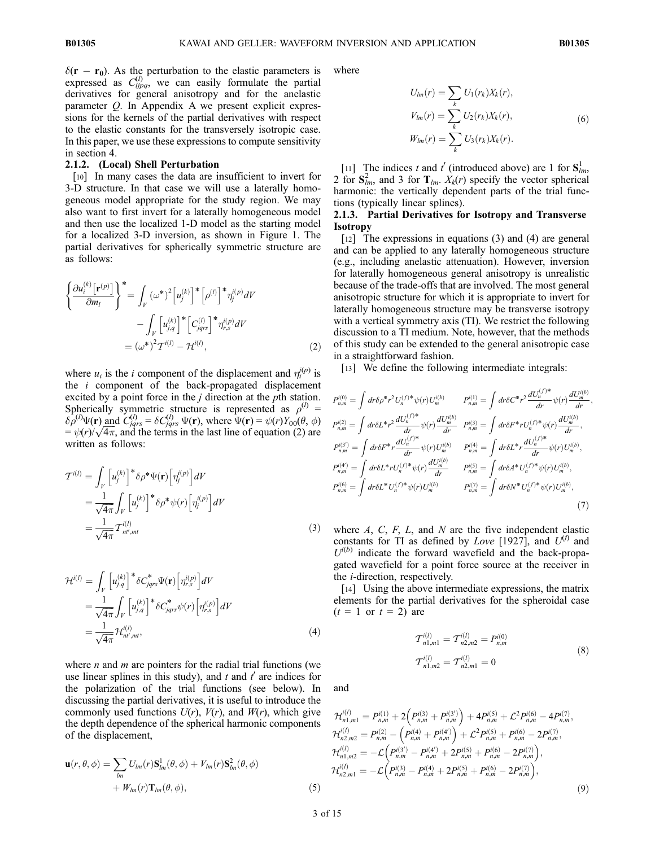$\delta(\mathbf{r} - \mathbf{r}_0)$ . As the perturbation to the elastic parameters is expressed as  $C_{ijpq}^{(l)}$ , we can easily formulate the partial derivatives for general anisotropy and for the anelastic parameter Q. In Appendix A we present explicit expressions for the kernels of the partial derivatives with respect to the elastic constants for the transversely isotropic case. In this paper, we use these expressions to compute sensitivity in section 4.

#### 2.1.2. (Local) Shell Perturbation

[10] In many cases the data are insufficient to invert for 3-D structure. In that case we will use a laterally homogeneous model appropriate for the study region. We may also want to first invert for a laterally homogeneous model and then use the localized 1-D model as the starting model for a localized 3-D inversion, as shown in Figure 1. The partial derivatives for spherically symmetric structure are as follows:

$$
\left\{\frac{\partial u_i^{(k)}[\mathbf{r}^{(p)}]}{\partial m_l}\right\}^* = \int_V (\omega^*)^2 \left[u_j^{(k)}\right]^* \left[\rho^{(l)}\right]^* \eta_j^{i(p)} dV
$$

$$
-\int_V \left[u_{j,q}^{(k)}\right]^* \left[C_{jqrs}^{(l)}\right]^* \eta_{r,s}^{i(p)} dV
$$

$$
= (\omega^*)^2 \mathcal{T}^{i(l)} - \mathcal{H}^{i(l)}, \tag{2}
$$

where  $u_i$  is the *i* component of the displacement and  $\eta_i^{(p)}$  is the  $i$  component of the back-propagated displacement excited by a point force in the  $j$  direction at the  $p$ th station. Spherically symmetric structure is represented as  $\rho^{(l)}$  =  $\delta \rho^{(l)} \Psi(\mathbf{r})$  and  $C_{jqrs}^{(l)} = \delta C_{jqrs}^{(l)} \Psi(\mathbf{r})$ , where  $\Psi(\mathbf{r}) = \psi(r) Y_{00}(\theta, \phi)$  $\partial \rho^{\circ} \Psi(\mathbf{r})$  and  $C_{jqrs}^{\circ} = \partial C_{jqrs}^{\circ} \Psi(\mathbf{r})$ , where  $\Psi(\mathbf{r}) = \psi(r) \gamma_{00}(t, \phi) = \psi(r) / \sqrt{4\pi}$ , and the terms in the last line of equation (2) are written as follows:

$$
\mathcal{T}^{i(l)} = \int_{V} \left[ u_j^{(k)} \right]^* \delta \rho^* \Psi(\mathbf{r}) \left[ \eta_j^{i(p)} \right] dV
$$
  
\n
$$
= \frac{1}{\sqrt{4\pi}} \int_{V} \left[ u_j^{(k)} \right]^* \delta \rho^* \psi(r) \left[ \eta_j^{i(p)} \right] dV
$$
  
\n
$$
= \frac{1}{\sqrt{4\pi}} \mathcal{T}_{n',mt}^{i(l)}
$$
 (3)

$$
\mathcal{H}^{i(l)} = \int_{V} \left[ u_{j,q}^{(k)} \right]^* \delta C_{jqrs}^* \Psi(\mathbf{r}) \left[ \eta_{r,s}^{(p)} \right] dV
$$
  
\n
$$
= \frac{1}{\sqrt{4\pi}} \int_{V} \left[ u_{j,q}^{(k)} \right]^* \delta C_{jqrs}^* \psi(r) \left[ \eta_{r,s}^{(p)} \right] dV
$$
  
\n
$$
= \frac{1}{\sqrt{4\pi}} \mathcal{H}_{nt',mt}^{i(l)}, \tag{4}
$$

where  $n$  and  $m$  are pointers for the radial trial functions (we use linear splines in this study), and  $t$  and  $t'$  are indices for the polarization of the trial functions (see below). In discussing the partial derivatives, it is useful to introduce the commonly used functions  $U(r)$ ,  $V(r)$ , and  $W(r)$ , which give the depth dependence of the spherical harmonic components of the displacement,

$$
\mathbf{u}(r,\theta,\phi) = \sum_{lm} U_{lm}(r) \mathbf{S}_{lm}^1(\theta,\phi) + V_{lm}(r) \mathbf{S}_{lm}^2(\theta,\phi)
$$
  
+  $W_{lm}(r) \mathbf{T}_{lm}(\theta,\phi),$  (5)

where

$$
U_{lm}(r) = \sum_{k} U_1(r_k) X_k(r),
$$
  
\n
$$
V_{lm}(r) = \sum_{k} U_2(r_k) X_k(r),
$$
  
\n
$$
W_{lm}(r) = \sum_{k} U_3(r_k) X_k(r).
$$
\n(6)

[11] The indices t and t' (introduced above) are 1 for  $S<sub>lm</sub>$ , 2 for  $S_{lm}^2$ , and 3 for  $T_{lm}$ .  $X_k(r)$  specify the vector spherical harmonic: the vertically dependent parts of the trial functions (typically linear splines).

### 2.1.3. Partial Derivatives for Isotropy and Transverse Isotropy

[12] The expressions in equations (3) and (4) are general and can be applied to any laterally homogeneous structure (e.g., including anelastic attenuation). However, inversion for laterally homogeneous general anisotropy is unrealistic because of the trade-offs that are involved. The most general anisotropic structure for which it is appropriate to invert for laterally homogeneous structure may be transverse isotropy with a vertical symmetry axis (TI). We restrict the following discussion to a TI medium. Note, however, that the methods of this study can be extended to the general anisotropic case in a straightforward fashion.

[13] We define the following intermediate integrals:

$$
P_{n,m}^{i(0)} = \int dr \delta \rho^* r^2 U_n^{(f)*} \psi(r) U_m^{i(b)}
$$
\n
$$
P_{n,m}^{i(1)} = \int dr \delta C^* r^2 \frac{dU_n^{(f)*}}{dr} \psi(r) \frac{dU_m^{i(b)}}{dr},
$$
\n
$$
P_{n,m}^{i(2)} = \int dr \delta L^* r^2 \frac{dU_n^{(f)*}}{dr} \psi(r) \frac{dU_m^{i(b)}}{dr} \quad P_{n,m}^{i(3)} = \int dr \delta F^* r U_n^{(f)*} \psi(r) \frac{dU_m^{i(b)}}{dr},
$$
\n
$$
P_{n,m}^{i(3')} = \int dr \delta F^* r \frac{dU_n^{(f)*}}{dr} \psi(r) U_m^{i(b)}
$$
\n
$$
P_{n,m}^{i(4')} = \int dr \delta L^* r U_n^{(f)*} \psi(r) \frac{dU_m^{i(b)}}{dr} \quad P_{n,m}^{i(5)} = \int dr \delta A^* U_n^{(f)*} \psi(r) U_m^{i(b)},
$$
\n
$$
P_{n,m}^{i(6)} = \int dr \delta L^* U_n^{(f)*} \psi(r) U_m^{i(b)}
$$
\n
$$
P_{n,m}^{i(7)} = \int dr \delta N^* U_n^{(f)*} \psi(r) U_m^{i(b)},
$$
\n(7)

where  $A$ ,  $C$ ,  $F$ ,  $L$ , and  $N$  are the five independent elastic constants for TI as defined by Love [1927], and  $U^{(f)}$  and  $U^{(b)}$  indicate the forward wavefield and the back-propagated wavefield for a point force source at the receiver in the i-direction, respectively.

[14] Using the above intermediate expressions, the matrix elements for the partial derivatives for the spheroidal case  $(t = 1 \text{ or } t = 2)$  are

$$
T_{n1,m1}^{i(l)} = T_{n2,m2}^{i(l)} = P_{n,m}^{i(0)}
$$
  
\n
$$
T_{n1,m2}^{i(l)} = T_{n2,m1}^{i(l)} = 0
$$
\n(8)

and

$$
\mathcal{H}_{n1,m1}^{i(l)} = P_{n,m}^{i(1)} + 2(P_{n,m}^{i(3)} + P_{n,m}^{i(3)}) + 4P_{n,m}^{i(5)} + \mathcal{L}^2 P_{n,m}^{i(6)} - 4P_{n,m}^{i(7)},
$$
  
\n
$$
\mathcal{H}_{n2,m2}^{i(l)} = P_{n,m}^{i(2)} - (P_{n,m}^{i(4)} + P_{n,m}^{i(4')}) + \mathcal{L}^2 P_{n,m}^{i(5)} + P_{n,m}^{i(6)} - 2P_{n,m}^{i(7)},
$$
  
\n
$$
\mathcal{H}_{n1,m2}^{i(l)} = -\mathcal{L}(P_{n,m}^{i(3')}-P_{n,m}^{i(4')} + 2P_{n,m}^{i(5)} + P_{n,m}^{i(6)} - 2P_{n,m}^{i(7)}),
$$
  
\n
$$
\mathcal{H}_{n2,m1}^{i(l)} = -\mathcal{L}(P_{n,m}^{i(3)} - P_{n,m}^{i(4)} + 2P_{n,m}^{i(5)} + P_{n,m}^{i(6)} - 2P_{n,m}^{i(7)}),
$$
  
\n(9)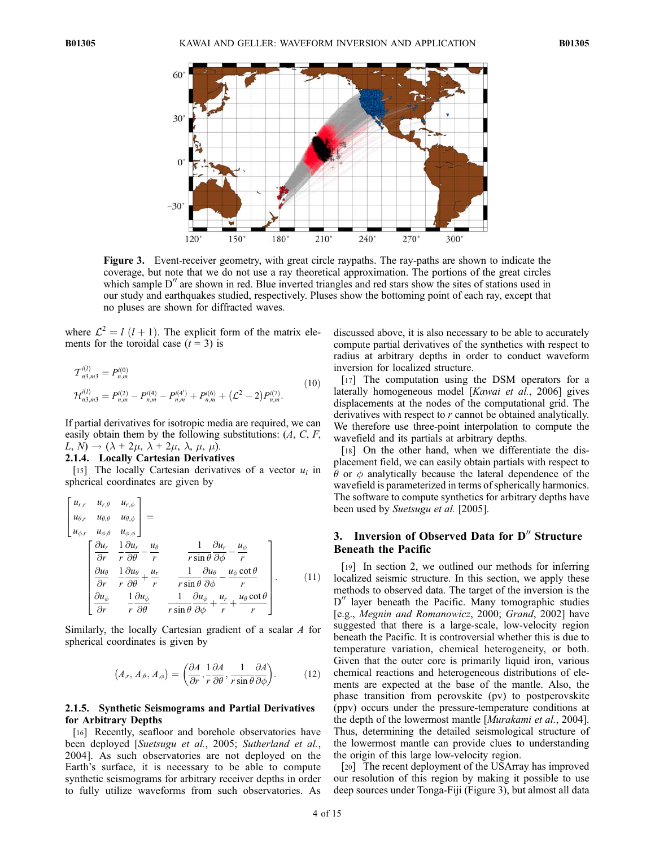

Figure 3. Event-receiver geometry, with great circle raypaths. The ray-paths are shown to indicate the coverage, but note that we do not use a ray theoretical approximation. The portions of the great circles which sample  $D''$  are shown in red. Blue inverted triangles and red stars show the sites of stations used in our study and earthquakes studied, respectively. Pluses show the bottoming point of each ray, except that no pluses are shown for diffracted waves.

where  $\mathcal{L}^2 = l$  (l + 1). The explicit form of the matrix elements for the toroidal case  $(t = 3)$  is

$$
\mathcal{T}_{n3,m3}^{i(l)} = P_{n,m}^{i(0)}
$$
\n
$$
\mathcal{H}_{n3,m3}^{i(l)} = P_{n,m}^{i(2)} - P_{n,m}^{i(4)} - P_{n,m}^{i(4')} + P_{n,m}^{i(6)} + (\mathcal{L}^2 - 2) P_{n,m}^{i(7)}.
$$
\n(10)

If partial derivatives for isotropic media are required, we can easily obtain them by the following substitutions:  $(A, C, F, F)$  $L, N) \rightarrow (\lambda + 2\mu, \lambda + 2\mu, \lambda, \mu, \mu).$ 

# 2.1.4. Locally Cartesian Derivatives

[15] The locally Cartesian derivatives of a vector  $u_i$  in spherical coordinates are given by

$$
\begin{bmatrix}\nu_{r,r} & u_{r,\theta} & u_{r,\phi} \\
u_{\theta,r} & u_{\theta,\theta} & u_{\theta,\phi} \\
u_{\phi,r} & u_{\phi,\theta} & u_{\phi,\phi}\n\end{bmatrix} = \n\begin{bmatrix}\n\frac{\partial u_r}{\partial r} & \frac{1}{r} \frac{\partial u_r}{\partial \theta} - \frac{u_{\phi}}{r} \\
\frac{\partial u_{\theta}}{\partial r} & \frac{1}{r} \frac{\partial u_{\theta}}{\partial \theta} + \frac{u_r}{r} & \frac{1}{r \sin \theta} \frac{\partial u_{\theta}}{\partial \phi} - \frac{u_{\phi}}{r} \\
\frac{\partial u_{\phi}}{\partial r} & \frac{1}{r} \frac{\partial u_{\phi}}{\partial \theta} & \frac{1}{r \sin \theta} \frac{\partial u_{\phi}}{\partial \phi} + \frac{u_r}{r} + \frac{u_{\theta} \cot \theta}{r}\n\end{bmatrix}.
$$
\n(11)

Similarly, the locally Cartesian gradient of a scalar A for spherical coordinates is given by

$$
(A_r, A_{,\theta}, A_{,\phi}) = \left(\frac{\partial A}{\partial r}, \frac{1}{r}\frac{\partial A}{\partial \theta}, \frac{1}{r\sin\theta}\frac{\partial A}{\partial \phi}\right).
$$
 (12)

#### 2.1.5. Synthetic Seismograms and Partial Derivatives for Arbitrary Depths

[16] Recently, seafloor and borehole observatories have been deployed [Suetsugu et al., 2005; Sutherland et al., 2004]. As such observatories are not deployed on the Earth's surface, it is necessary to be able to compute synthetic seismograms for arbitrary receiver depths in order to fully utilize waveforms from such observatories. As

discussed above, it is also necessary to be able to accurately compute partial derivatives of the synthetics with respect to radius at arbitrary depths in order to conduct waveform inversion for localized structure.

[17] The computation using the DSM operators for a laterally homogeneous model [Kawai et al., 2006] gives displacements at the nodes of the computational grid. The derivatives with respect to r cannot be obtained analytically. We therefore use three-point interpolation to compute the wavefield and its partials at arbitrary depths.

[18] On the other hand, when we differentiate the displacement field, we can easily obtain partials with respect to  $\theta$  or  $\phi$  analytically because the lateral dependence of the wavefield is parameterized in terms of spherically harmonics. The software to compute synthetics for arbitrary depths have been used by Suetsugu et al. [2005].

# 3. Inversion of Observed Data for  $D''$  Structure Beneath the Pacific

[19] In section 2, we outlined our methods for inferring localized seismic structure. In this section, we apply these methods to observed data. The target of the inversion is the  $D''$  layer beneath the Pacific. Many tomographic studies [e.g., Megnin and Romanowicz, 2000; Grand, 2002] have suggested that there is a large-scale, low-velocity region beneath the Pacific. It is controversial whether this is due to temperature variation, chemical heterogeneity, or both. Given that the outer core is primarily liquid iron, various chemical reactions and heterogeneous distributions of elements are expected at the base of the mantle. Also, the phase transition from perovskite (pv) to postperovskite (ppv) occurs under the pressure-temperature conditions at the depth of the lowermost mantle [Murakami et al., 2004]. Thus, determining the detailed seismological structure of the lowermost mantle can provide clues to understanding the origin of this large low-velocity region.

[20] The recent deployment of the USArray has improved our resolution of this region by making it possible to use deep sources under Tonga-Fiji (Figure 3), but almost all data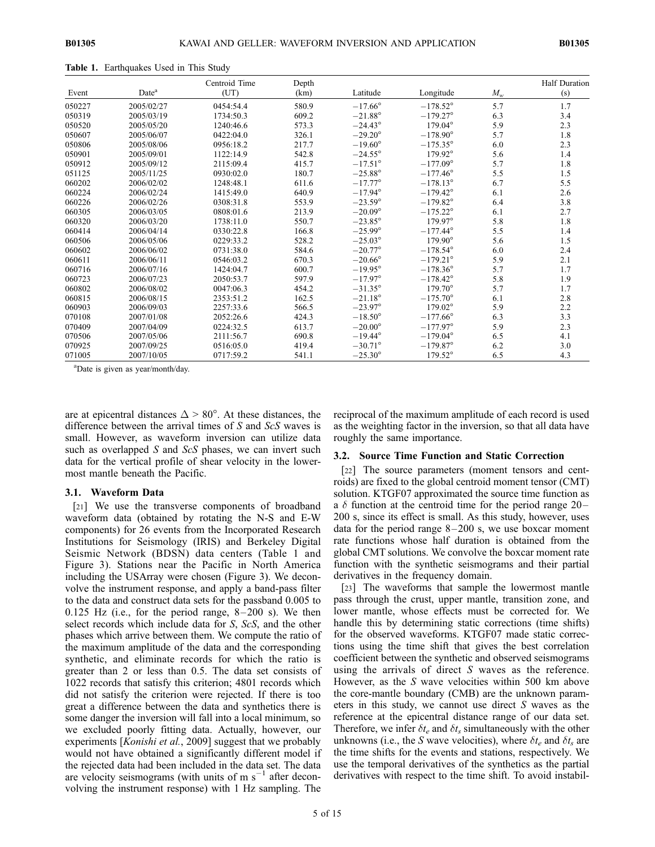|        |                   | Centroid Time | Depth |                  |                   |                            | <b>Half Duration</b> |
|--------|-------------------|---------------|-------|------------------|-------------------|----------------------------|----------------------|
| Event  | Date <sup>a</sup> | (UT)          | (km)  | Latitude         | Longitude         | $M_{\scriptscriptstyle W}$ | (s)                  |
| 050227 | 2005/02/27        | 0454:54.4     | 580.9 | $-17.66^{\circ}$ | $-178.52^{\circ}$ | 5.7                        | 1.7                  |
| 050319 | 2005/03/19        | 1734:50.3     | 609.2 | $-21.88^{\circ}$ | $-179.27^{\circ}$ | 6.3                        | 3.4                  |
| 050520 | 2005/05/20        | 1240:46.6     | 573.3 | $-24.43^{\circ}$ | $179.04^{\circ}$  | 5.9                        | 2.3                  |
| 050607 | 2005/06/07        | 0422.040      | 326.1 | $-29.20^{\circ}$ | $-178.90^{\circ}$ | 5.7                        | 1.8                  |
| 050806 | 2005/08/06        | 0956:18.2     | 217.7 | $-19.60^{\circ}$ | $-175.35^{\circ}$ | 6.0                        | 2.3                  |
| 050901 | 2005/09/01        | 1122.149      | 542.8 | $-24.55^{\circ}$ | $179.92^{\circ}$  | 5.6                        | 1.4                  |
| 050912 | 2005/09/12        | 2115:09.4     | 415.7 | $-17.51^{\circ}$ | $-177.09^{\circ}$ | 5.7                        | 1.8                  |
| 051125 | 2005/11/25        | 0930:02.0     | 180.7 | $-25.88^{\circ}$ | $-177.46^{\circ}$ | 5.5                        | 1.5                  |
| 060202 | 2006/02/02        | 1248:48.1     | 611.6 | $-17.77^{\circ}$ | $-178.13^{\circ}$ | 6.7                        | 5.5                  |
| 060224 | 2006/02/24        | 1415:49.0     | 640.9 | $-17.94^{\circ}$ | $-179.42^{\circ}$ | 6.1                        | 2.6                  |
| 060226 | 2006/02/26        | 0308:31.8     | 553.9 | $-23.59^{\circ}$ | $-179.82^{\circ}$ | 6.4                        | 3.8                  |
| 060305 | 2006/03/05        | 0808:01.6     | 213.9 | $-20.09^\circ$   | $-175.22^{\circ}$ | 6.1                        | 2.7                  |
| 060320 | 2006/03/20        | 1738:11.0     | 550.7 | $-23.85^{\circ}$ | $179.97^{\circ}$  | 5.8                        | 1.8                  |
| 060414 | 2006/04/14        | 0330:22.8     | 166.8 | $-25.99^{\circ}$ | $-177.44^{\circ}$ | 5.5                        | 1.4                  |
| 060506 | 2006/05/06        | 0229:33.2     | 528.2 | $-25.03^{\circ}$ | $179.90^{\circ}$  | 5.6                        | 1.5                  |
| 060602 | 2006/06/02        | 0731:38.0     | 584.6 | $-20.77^{\circ}$ | $-178.54^{\circ}$ | 6.0                        | 2.4                  |
| 060611 | 2006/06/11        | 0546:03.2     | 670.3 | $-20.66^{\circ}$ | $-179.21^{\circ}$ | 5.9                        | 2.1                  |
| 060716 | 2006/07/16        | 1424.047      | 600.7 | $-19.95^{\circ}$ | $-178.36^{\circ}$ | 5.7                        | 1.7                  |
| 060723 | 2006/07/23        | 2050:53.7     | 597.9 | $-17.97^{\circ}$ | $-178.42^{\circ}$ | 5.8                        | 1.9                  |
| 060802 | 2006/08/02        | 0047:06.3     | 454.2 | $-31.35^{\circ}$ | $179.70^{\circ}$  | 5.7                        | 1.7                  |
| 060815 | 2006/08/15        | 2353:51.2     | 162.5 | $-21.18^{\circ}$ | $-175.70^{\circ}$ | 6.1                        | 2.8                  |
| 060903 | 2006/09/03        | 2257:33.6     | 566.5 | $-23.97^{\circ}$ | $179.02^{\circ}$  | 5.9                        | 2.2                  |
| 070108 | 2007/01/08        | 2052:26.6     | 424.3 | $-18.50^{\circ}$ | $-177.66^{\circ}$ | 6.3                        | 3.3                  |
| 070409 | 2007/04/09        | 0224.32.5     | 613.7 | $-20.00^\circ$   | $-177.97^{\circ}$ | 5.9                        | 2.3                  |
| 070506 | 2007/05/06        | 2111:56.7     | 690.8 | $-19.44^{\circ}$ | $-179.04^{\circ}$ | 6.5                        | 4.1                  |
| 070925 | 2007/09/25        | 0516:05.0     | 419.4 | $-30.71^{\circ}$ | $-179.87^{\circ}$ | 6.2                        | 3.0                  |
| 071005 | 2007/10/05        | 0717:59.2     | 541.1 | $-25.30^{\circ}$ | $179.52^{\circ}$  | 6.5                        | 4.3                  |

Table 1. Earthquakes Used in This Study

a Date is given as year/month/day.

are at epicentral distances  $\Delta > 80^{\circ}$ . At these distances, the difference between the arrival times of S and ScS waves is small. However, as waveform inversion can utilize data such as overlapped S and ScS phases, we can invert such data for the vertical profile of shear velocity in the lowermost mantle beneath the Pacific.

#### 3.1. Waveform Data

[21] We use the transverse components of broadband waveform data (obtained by rotating the N-S and E-W components) for 26 events from the Incorporated Research Institutions for Seismology (IRIS) and Berkeley Digital Seismic Network (BDSN) data centers (Table 1 and Figure 3). Stations near the Pacific in North America including the USArray were chosen (Figure 3). We deconvolve the instrument response, and apply a band-pass filter to the data and construct data sets for the passband 0.005 to  $0.125$  Hz (i.e., for the period range,  $8-200$  s). We then select records which include data for S, ScS, and the other phases which arrive between them. We compute the ratio of the maximum amplitude of the data and the corresponding synthetic, and eliminate records for which the ratio is greater than 2 or less than 0.5. The data set consists of 1022 records that satisfy this criterion; 4801 records which did not satisfy the criterion were rejected. If there is too great a difference between the data and synthetics there is some danger the inversion will fall into a local minimum, so we excluded poorly fitting data. Actually, however, our experiments [*Konishi et al.*, 2009] suggest that we probably would not have obtained a significantly different model if the rejected data had been included in the data set. The data are velocity seismograms (with units of m  $s^{-1}$  after deconvolving the instrument response) with 1 Hz sampling. The

reciprocal of the maximum amplitude of each record is used as the weighting factor in the inversion, so that all data have roughly the same importance.

#### 3.2. Source Time Function and Static Correction

[22] The source parameters (moment tensors and centroids) are fixed to the global centroid moment tensor (CMT) solution. KTGF07 approximated the source time function as a  $\delta$  function at the centroid time for the period range 20– 200 s, since its effect is small. As this study, however, uses data for the period range  $8-200$  s, we use boxcar moment rate functions whose half duration is obtained from the global CMT solutions. We convolve the boxcar moment rate function with the synthetic seismograms and their partial derivatives in the frequency domain.

[23] The waveforms that sample the lowermost mantle pass through the crust, upper mantle, transition zone, and lower mantle, whose effects must be corrected for. We handle this by determining static corrections (time shifts) for the observed waveforms. KTGF07 made static corrections using the time shift that gives the best correlation coefficient between the synthetic and observed seismograms using the arrivals of direct S waves as the reference. However, as the S wave velocities within 500 km above the core-mantle boundary (CMB) are the unknown parameters in this study, we cannot use direct S waves as the reference at the epicentral distance range of our data set. Therefore, we infer  $\delta t_e$  and  $\delta t_s$  simultaneously with the other unknowns (i.e., the S wave velocities), where  $\delta t_e$  and  $\delta t_s$  are the time shifts for the events and stations, respectively. We use the temporal derivatives of the synthetics as the partial derivatives with respect to the time shift. To avoid instabil-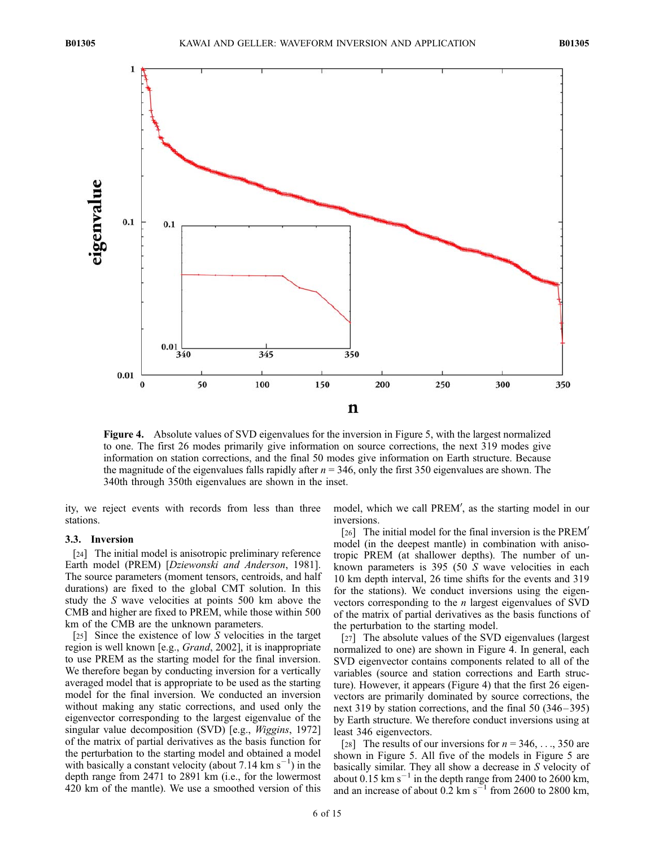

Figure 4. Absolute values of SVD eigenvalues for the inversion in Figure 5, with the largest normalized to one. The first 26 modes primarily give information on source corrections, the next 319 modes give information on station corrections, and the final 50 modes give information on Earth structure. Because the magnitude of the eigenvalues falls rapidly after  $n = 346$ , only the first 350 eigenvalues are shown. The 340th through 350th eigenvalues are shown in the inset.

ity, we reject events with records from less than three stations.

#### 3.3. Inversion

[24] The initial model is anisotropic preliminary reference Earth model (PREM) [Dziewonski and Anderson, 1981]. The source parameters (moment tensors, centroids, and half durations) are fixed to the global CMT solution. In this study the S wave velocities at points 500 km above the CMB and higher are fixed to PREM, while those within 500 km of the CMB are the unknown parameters.

[25] Since the existence of low S velocities in the target region is well known [e.g., Grand, 2002], it is inappropriate to use PREM as the starting model for the final inversion. We therefore began by conducting inversion for a vertically averaged model that is appropriate to be used as the starting model for the final inversion. We conducted an inversion without making any static corrections, and used only the eigenvector corresponding to the largest eigenvalue of the singular value decomposition (SVD) [e.g., *Wiggins*, 1972] of the matrix of partial derivatives as the basis function for the perturbation to the starting model and obtained a model with basically a constant velocity (about 7.14 km  $s^{-1}$ ) in the depth range from 2471 to 2891 km (i.e., for the lowermost 420 km of the mantle). We use a smoothed version of this

model, which we call PREM', as the starting model in our inversions.

[26] The initial model for the final inversion is the  $PREM'$ model (in the deepest mantle) in combination with anisotropic PREM (at shallower depths). The number of unknown parameters is 395 (50 S wave velocities in each 10 km depth interval, 26 time shifts for the events and 319 for the stations). We conduct inversions using the eigenvectors corresponding to the n largest eigenvalues of SVD of the matrix of partial derivatives as the basis functions of the perturbation to the starting model.

[27] The absolute values of the SVD eigenvalues (largest normalized to one) are shown in Figure 4. In general, each SVD eigenvector contains components related to all of the variables (source and station corrections and Earth structure). However, it appears (Figure 4) that the first 26 eigenvectors are primarily dominated by source corrections, the next 319 by station corrections, and the final 50 (346– 395) by Earth structure. We therefore conduct inversions using at least 346 eigenvectors.

[28] The results of our inversions for  $n = 346, \ldots, 350$  are shown in Figure 5. All five of the models in Figure 5 are basically similar. They all show a decrease in S velocity of about 0.15 km  $s^{-1}$  in the depth range from 2400 to 2600 km, and an increase of about  $0.\overline{2}$  km s<sup>-1</sup> from 2600 to 2800 km,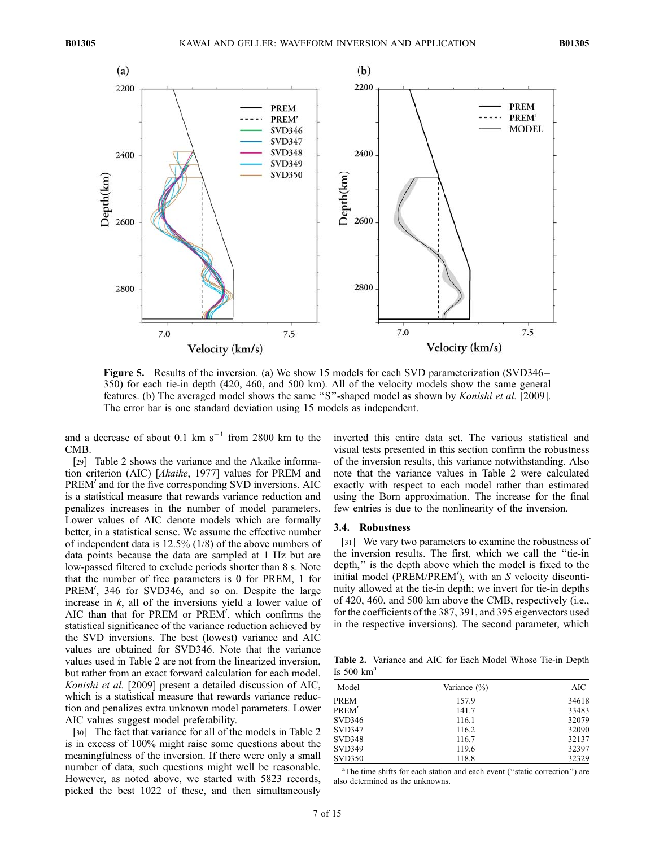

Figure 5. Results of the inversion. (a) We show 15 models for each SVD parameterization (SVD346– 350) for each tie-in depth (420, 460, and 500 km). All of the velocity models show the same general features. (b) The averaged model shows the same ''S''-shaped model as shown by Konishi et al. [2009]. The error bar is one standard deviation using 15 models as independent.

and a decrease of about  $0.1 \text{ km s}^{-1}$  from 2800 km to the CMB.

[29] Table 2 shows the variance and the Akaike information criterion (AIC) [Akaike, 1977] values for PREM and PREM' and for the five corresponding SVD inversions. AIC is a statistical measure that rewards variance reduction and penalizes increases in the number of model parameters. Lower values of AIC denote models which are formally better, in a statistical sense. We assume the effective number of independent data is 12.5% (1/8) of the above numbers of data points because the data are sampled at 1 Hz but are low-passed filtered to exclude periods shorter than 8 s. Note that the number of free parameters is 0 for PREM, 1 for PREM', 346 for SVD346, and so on. Despite the large increase in  $k$ , all of the inversions yield a lower value of AIC than that for PREM or PREM', which confirms the statistical significance of the variance reduction achieved by the SVD inversions. The best (lowest) variance and AIC values are obtained for SVD346. Note that the variance values used in Table 2 are not from the linearized inversion, but rather from an exact forward calculation for each model. Konishi et al. [2009] present a detailed discussion of AIC, which is a statistical measure that rewards variance reduction and penalizes extra unknown model parameters. Lower AIC values suggest model preferability.

[30] The fact that variance for all of the models in Table 2 is in excess of 100% might raise some questions about the meaningfulness of the inversion. If there were only a small number of data, such questions might well be reasonable. However, as noted above, we started with 5823 records, picked the best 1022 of these, and then simultaneously

inverted this entire data set. The various statistical and visual tests presented in this section confirm the robustness of the inversion results, this variance notwithstanding. Also note that the variance values in Table 2 were calculated exactly with respect to each model rather than estimated using the Born approximation. The increase for the final few entries is due to the nonlinearity of the inversion.

#### 3.4. Robustness

[31] We vary two parameters to examine the robustness of the inversion results. The first, which we call the ''tie-in depth,'' is the depth above which the model is fixed to the initial model ( $\overline{PREM/PREM}$ <sup>'</sup>), with an S velocity discontinuity allowed at the tie-in depth; we invert for tie-in depths of 420, 460, and 500 km above the CMB, respectively (i.e., for the coefficients of the 387, 391, and 395 eigenvectors used in the respective inversions). The second parameter, which

Table 2. Variance and AIC for Each Model Whose Tie-in Depth Is  $500 \text{ km}^{\text{a}}$ 

| Model             | Variance $(\% )$ | AIC   |
|-------------------|------------------|-------|
| <b>PREM</b>       | 157.9            | 34618 |
| PREM <sup>'</sup> | 141.7            | 33483 |
| <b>SVD346</b>     | 116.1            | 32079 |
| SVD347            | 116.2            | 32090 |
| <b>SVD348</b>     | 116.7            | 32137 |
| <b>SVD349</b>     | 119.6            | 32397 |
| <b>SVD350</b>     | 118.8            | 32329 |

<sup>a</sup>The time shifts for each station and each event ("static correction") are also determined as the unknowns.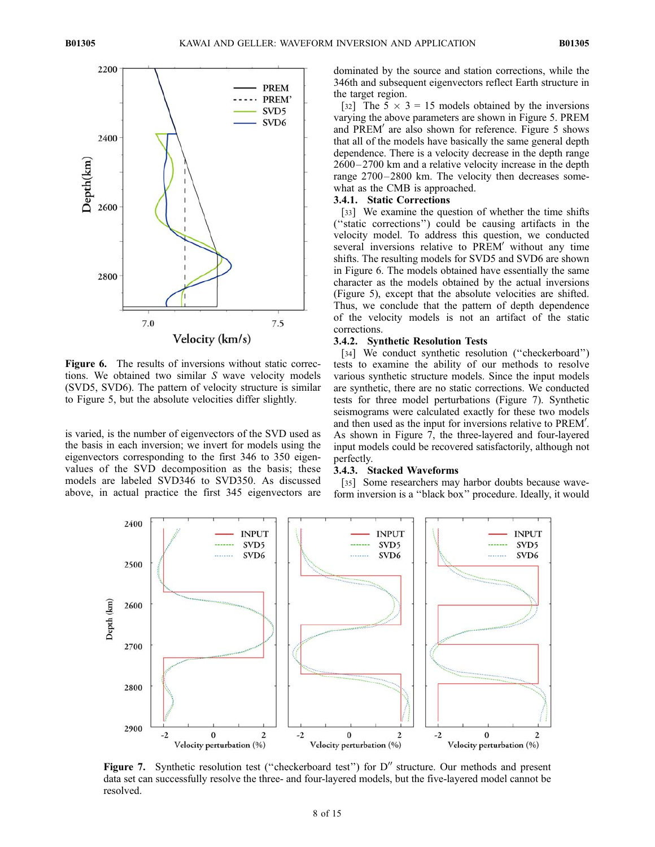

Figure 6. The results of inversions without static corrections. We obtained two similar S wave velocity models (SVD5, SVD6). The pattern of velocity structure is similar to Figure 5, but the absolute velocities differ slightly.

is varied, is the number of eigenvectors of the SVD used as the basis in each inversion; we invert for models using the eigenvectors corresponding to the first 346 to 350 eigenvalues of the SVD decomposition as the basis; these models are labeled SVD346 to SVD350. As discussed above, in actual practice the first 345 eigenvectors are

dominated by the source and station corrections, while the 346th and subsequent eigenvectors reflect Earth structure in the target region.

[32] The  $5 \times 3 = 15$  models obtained by the inversions varying the above parameters are shown in Figure 5. PREM and PREM<sup>'</sup> are also shown for reference. Figure 5 shows that all of the models have basically the same general depth dependence. There is a velocity decrease in the depth range 2600– 2700 km and a relative velocity increase in the depth range 2700-2800 km. The velocity then decreases somewhat as the CMB is approached.

#### 3.4.1. Static Corrections

[33] We examine the question of whether the time shifts (''static corrections'') could be causing artifacts in the velocity model. To address this question, we conducted several inversions relative to PREM' without any time shifts. The resulting models for SVD5 and SVD6 are shown in Figure 6. The models obtained have essentially the same character as the models obtained by the actual inversions (Figure 5), except that the absolute velocities are shifted. Thus, we conclude that the pattern of depth dependence of the velocity models is not an artifact of the static corrections.

#### 3.4.2. Synthetic Resolution Tests

[34] We conduct synthetic resolution ("checkerboard") tests to examine the ability of our methods to resolve various synthetic structure models. Since the input models are synthetic, there are no static corrections. We conducted tests for three model perturbations (Figure 7). Synthetic seismograms were calculated exactly for these two models and then used as the input for inversions relative to  $PREM'$ . As shown in Figure 7, the three-layered and four-layered input models could be recovered satisfactorily, although not perfectly.

#### 3.4.3. Stacked Waveforms

[35] Some researchers may harbor doubts because waveform inversion is a ''black box'' procedure. Ideally, it would



**Figure 7.** Synthetic resolution test ("checkerboard test") for  $D''$  structure. Our methods and present data set can successfully resolve the three- and four-layered models, but the five-layered model cannot be resolved.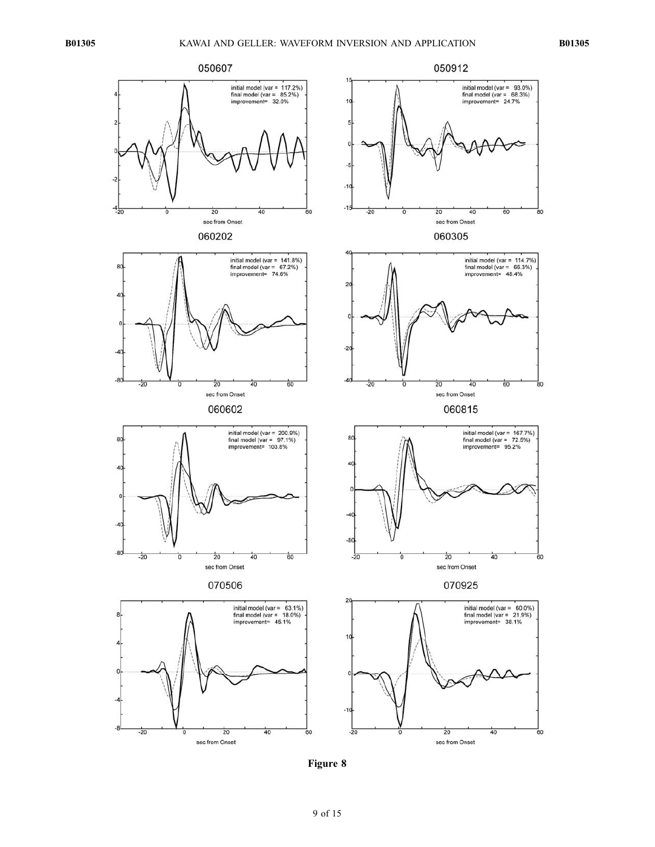

Figure 8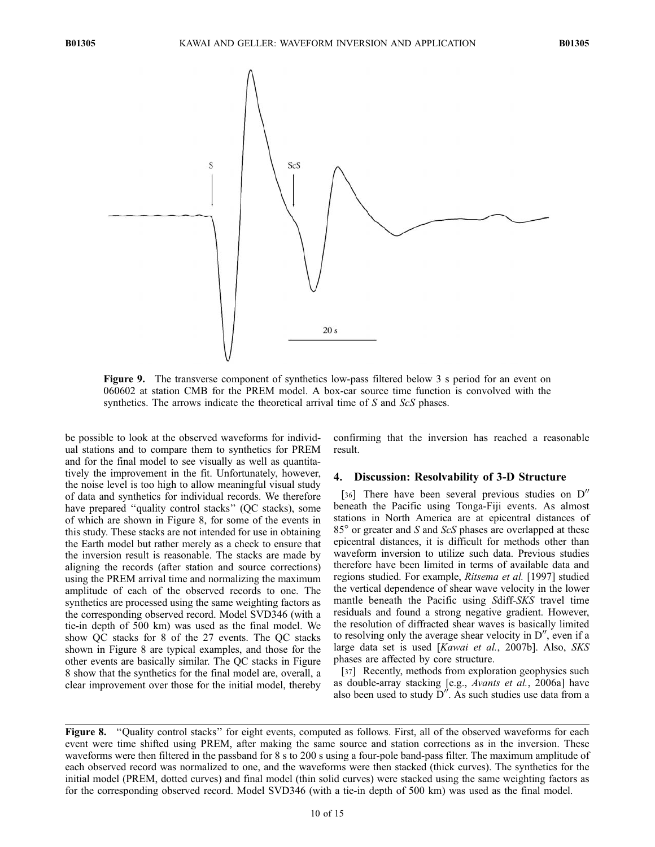

Figure 9. The transverse component of synthetics low-pass filtered below 3 s period for an event on 060602 at station CMB for the PREM model. A box-car source time function is convolved with the synthetics. The arrows indicate the theoretical arrival time of S and ScS phases.

be possible to look at the observed waveforms for individual stations and to compare them to synthetics for PREM and for the final model to see visually as well as quantitatively the improvement in the fit. Unfortunately, however, the noise level is too high to allow meaningful visual study of data and synthetics for individual records. We therefore have prepared "quality control stacks" (QC stacks), some of which are shown in Figure 8, for some of the events in this study. These stacks are not intended for use in obtaining the Earth model but rather merely as a check to ensure that the inversion result is reasonable. The stacks are made by aligning the records (after station and source corrections) using the PREM arrival time and normalizing the maximum amplitude of each of the observed records to one. The synthetics are processed using the same weighting factors as the corresponding observed record. Model SVD346 (with a tie-in depth of 500 km) was used as the final model. We show QC stacks for 8 of the 27 events. The QC stacks shown in Figure 8 are typical examples, and those for the other events are basically similar. The QC stacks in Figure 8 show that the synthetics for the final model are, overall, a clear improvement over those for the initial model, thereby

confirming that the inversion has reached a reasonable result.

#### 4. Discussion: Resolvability of 3-D Structure

[36] There have been several previous studies on  $D''$ beneath the Pacific using Tonga-Fiji events. As almost stations in North America are at epicentral distances of  $85^{\circ}$  or greater and S and ScS phases are overlapped at these epicentral distances, it is difficult for methods other than waveform inversion to utilize such data. Previous studies therefore have been limited in terms of available data and regions studied. For example, Ritsema et al. [1997] studied the vertical dependence of shear wave velocity in the lower mantle beneath the Pacific using Sdiff-SKS travel time residuals and found a strong negative gradient. However, the resolution of diffracted shear waves is basically limited to resolving only the average shear velocity in  $D''$ , even if a large data set is used [Kawai et al., 2007b]. Also, SKS phases are affected by core structure.

[37] Recently, methods from exploration geophysics such as double-array stacking [e.g., Avants et al., 2006a] have also been used to study  $\overline{D}^{\prime\prime}$ . As such studies use data from a

Figure 8. "Quality control stacks" for eight events, computed as follows. First, all of the observed waveforms for each event were time shifted using PREM, after making the same source and station corrections as in the inversion. These waveforms were then filtered in the passband for 8 s to 200 s using a four-pole band-pass filter. The maximum amplitude of each observed record was normalized to one, and the waveforms were then stacked (thick curves). The synthetics for the initial model (PREM, dotted curves) and final model (thin solid curves) were stacked using the same weighting factors as for the corresponding observed record. Model SVD346 (with a tie-in depth of 500 km) was used as the final model.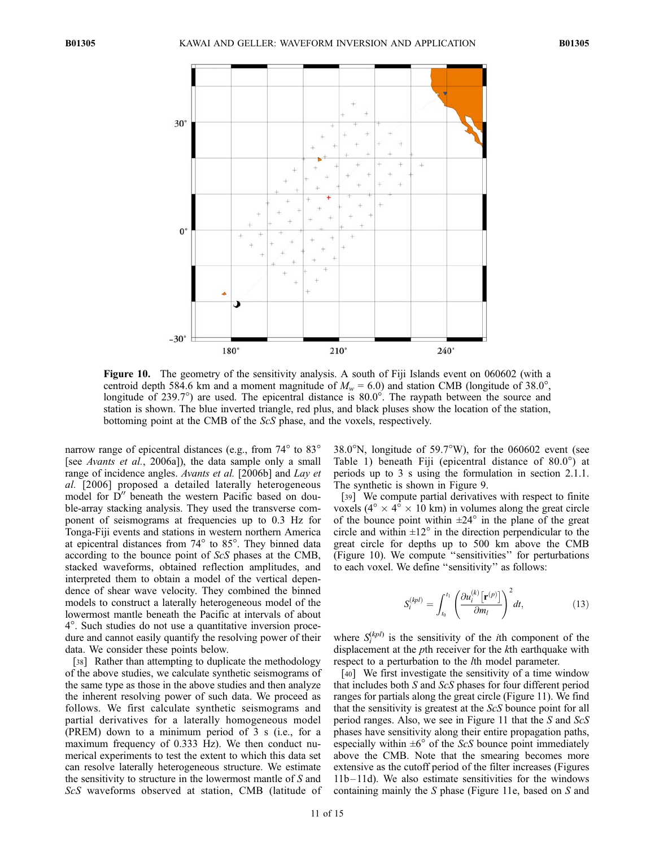

Figure 10. The geometry of the sensitivity analysis. A south of Fiji Islands event on 060602 (with a centroid depth 584.6 km and a moment magnitude of  $M_w = 6.0$ ) and station CMB (longitude of 38.0°, longitude of 239.7°) are used. The epicentral distance is  $80.0^{\circ}$ . The raypath between the source and station is shown. The blue inverted triangle, red plus, and black pluses show the location of the station, bottoming point at the CMB of the ScS phase, and the voxels, respectively.

narrow range of epicentral distances (e.g., from  $74^{\circ}$  to  $83^{\circ}$ [see *Avants et al.*, 2006a]), the data sample only a small range of incidence angles. Avants et al. [2006b] and Lay et al. [2006] proposed a detailed laterally heterogeneous model for  $D''$  beneath the western Pacific based on double-array stacking analysis. They used the transverse component of seismograms at frequencies up to 0.3 Hz for Tonga-Fiji events and stations in western northern America at epicentral distances from  $74^{\circ}$  to  $85^{\circ}$ . They binned data according to the bounce point of ScS phases at the CMB, stacked waveforms, obtained reflection amplitudes, and interpreted them to obtain a model of the vertical dependence of shear wave velocity. They combined the binned models to construct a laterally heterogeneous model of the lowermost mantle beneath the Pacific at intervals of about 4-. Such studies do not use a quantitative inversion procedure and cannot easily quantify the resolving power of their data. We consider these points below.

[38] Rather than attempting to duplicate the methodology of the above studies, we calculate synthetic seismograms of the same type as those in the above studies and then analyze the inherent resolving power of such data. We proceed as follows. We first calculate synthetic seismograms and partial derivatives for a laterally homogeneous model (PREM) down to a minimum period of 3 s (i.e., for a maximum frequency of 0.333 Hz). We then conduct numerical experiments to test the extent to which this data set can resolve laterally heterogeneous structure. We estimate the sensitivity to structure in the lowermost mantle of S and ScS waveforms observed at station, CMB (latitude of

 $38.0^{\circ}$ N, longitude of  $59.7^{\circ}$ W), for the 060602 event (see Table 1) beneath Fiji (epicentral distance of  $80.0^{\circ}$ ) at periods up to 3 s using the formulation in section 2.1.1. The synthetic is shown in Figure 9.

[39] We compute partial derivatives with respect to finite voxels ( $4^{\circ} \times 4^{\circ} \times 10$  km) in volumes along the great circle of the bounce point within  $\pm 24^\circ$  in the plane of the great circle and within  $\pm 12^{\circ}$  in the direction perpendicular to the great circle for depths up to 500 km above the CMB (Figure 10). We compute ''sensitivities'' for perturbations to each voxel. We define ''sensitivity'' as follows:

$$
S_i^{(kpl)} = \int_{t_0}^{t_1} \left( \frac{\partial u_i^{(k)} \left[ \mathbf{r}^{(p)} \right]}{\partial m_l} \right)^2 dt, \tag{13}
$$

where  $S_i^{(kpl)}$  is the sensitivity of the *i*th component of the displacement at the *p*th receiver for the *k*th earthquake with respect to a perturbation to the *l*th model parameter.

[40] We first investigate the sensitivity of a time window that includes both S and ScS phases for four different period ranges for partials along the great circle (Figure 11). We find that the sensitivity is greatest at the ScS bounce point for all period ranges. Also, we see in Figure 11 that the S and ScS phases have sensitivity along their entire propagation paths, especially within  $\pm 6^{\circ}$  of the ScS bounce point immediately above the CMB. Note that the smearing becomes more extensive as the cutoff period of the filter increases (Figures  $11b - 11d$ ). We also estimate sensitivities for the windows containing mainly the S phase (Figure 11e, based on S and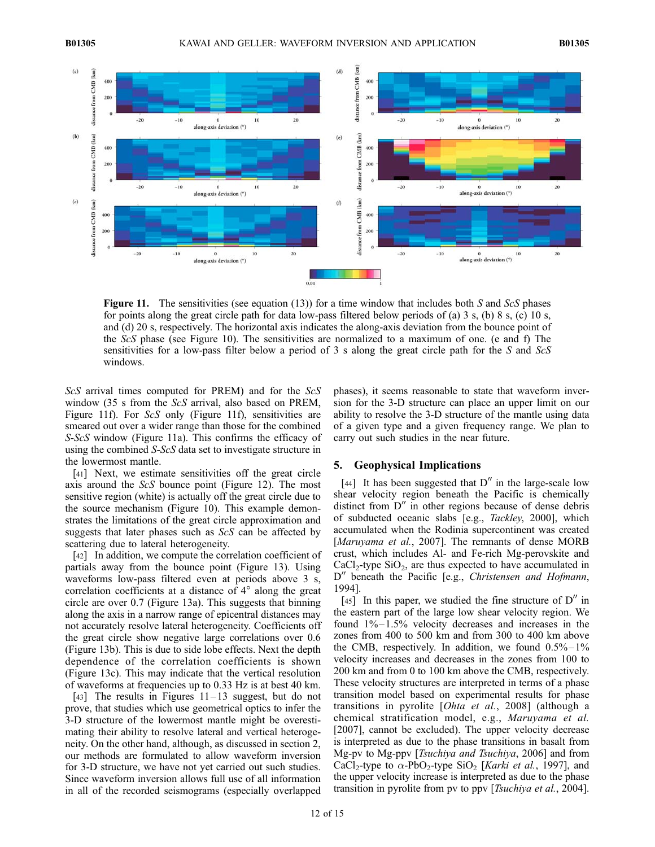

**Figure 11.** The sensitivities (see equation (13)) for a time window that includes both S and ScS phases for points along the great circle path for data low-pass filtered below periods of (a) 3 s, (b) 8 s, (c) 10 s, and (d) 20 s, respectively. The horizontal axis indicates the along-axis deviation from the bounce point of the ScS phase (see Figure 10). The sensitivities are normalized to a maximum of one. (e and f) The sensitivities for a low-pass filter below a period of 3 s along the great circle path for the S and ScS windows.

ScS arrival times computed for PREM) and for the ScS window (35 s from the ScS arrival, also based on PREM, Figure 11f). For ScS only (Figure 11f), sensitivities are smeared out over a wider range than those for the combined S-ScS window (Figure 11a). This confirms the efficacy of using the combined S-ScS data set to investigate structure in the lowermost mantle.

[41] Next, we estimate sensitivities off the great circle axis around the ScS bounce point (Figure 12). The most sensitive region (white) is actually off the great circle due to the source mechanism (Figure 10). This example demonstrates the limitations of the great circle approximation and suggests that later phases such as ScS can be affected by scattering due to lateral heterogeneity.

[42] In addition, we compute the correlation coefficient of partials away from the bounce point (Figure 13). Using waveforms low-pass filtered even at periods above 3 s, correlation coefficients at a distance of  $4^\circ$  along the great circle are over 0.7 (Figure 13a). This suggests that binning along the axis in a narrow range of epicentral distances may not accurately resolve lateral heterogeneity. Coefficients off the great circle show negative large correlations over 0.6 (Figure 13b). This is due to side lobe effects. Next the depth dependence of the correlation coefficients is shown (Figure 13c). This may indicate that the vertical resolution of waveforms at frequencies up to 0.33 Hz is at best 40 km.

[43] The results in Figures  $11-13$  suggest, but do not prove, that studies which use geometrical optics to infer the 3-D structure of the lowermost mantle might be overestimating their ability to resolve lateral and vertical heterogeneity. On the other hand, although, as discussed in section 2, our methods are formulated to allow waveform inversion for 3-D structure, we have not yet carried out such studies. Since waveform inversion allows full use of all information in all of the recorded seismograms (especially overlapped

phases), it seems reasonable to state that waveform inversion for the 3-D structure can place an upper limit on our ability to resolve the 3-D structure of the mantle using data of a given type and a given frequency range. We plan to carry out such studies in the near future.

#### 5. Geophysical Implications

[44] It has been suggested that  $D''$  in the large-scale low shear velocity region beneath the Pacific is chemically distinct from  $D''$  in other regions because of dense debris of subducted oceanic slabs [e.g., Tackley, 2000], which accumulated when the Rodinia supercontinent was created [Maruyama et al., 2007]. The remnants of dense MORB crust, which includes Al- and Fe-rich Mg-perovskite and  $CaCl<sub>2</sub>$ -type  $SiO<sub>2</sub>$ , are thus expected to have accumulated in  $D''$  beneath the Pacific [e.g., Christensen and Hofmann, 1994].

[45] In this paper, we studied the fine structure of  $D''$  in the eastern part of the large low shear velocity region. We found  $1\% - 1.5\%$  velocity decreases and increases in the zones from 400 to 500 km and from 300 to 400 km above the CMB, respectively. In addition, we found  $0.5\% - 1\%$ velocity increases and decreases in the zones from 100 to 200 km and from 0 to 100 km above the CMB, respectively. These velocity structures are interpreted in terms of a phase transition model based on experimental results for phase transitions in pyrolite [Ohta et al., 2008] (although a chemical stratification model, e.g., Maruyama et al. [2007], cannot be excluded). The upper velocity decrease is interpreted as due to the phase transitions in basalt from Mg-pv to Mg-ppv [Tsuchiya and Tsuchiya, 2006] and from CaCl<sub>2</sub>-type to  $\alpha$ -PbO<sub>2</sub>-type SiO<sub>2</sub> [*Karki et al.*, 1997], and the upper velocity increase is interpreted as due to the phase transition in pyrolite from pv to ppv [Tsuchiya et al., 2004].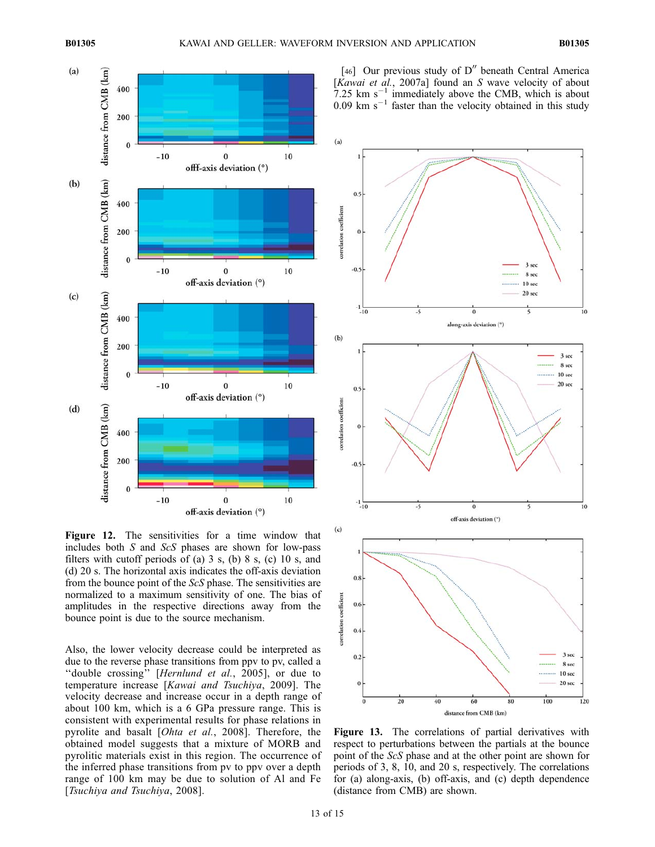

Figure 12. The sensitivities for a time window that includes both S and ScS phases are shown for low-pass filters with cutoff periods of (a)  $3 \text{ s}$ , (b)  $8 \text{ s}$ , (c)  $10 \text{ s}$ , and (d) 20 s. The horizontal axis indicates the off-axis deviation from the bounce point of the ScS phase. The sensitivities are normalized to a maximum sensitivity of one. The bias of amplitudes in the respective directions away from the bounce point is due to the source mechanism.

Also, the lower velocity decrease could be interpreted as due to the reverse phase transitions from ppv to pv, called a ''double crossing'' [Hernlund et al., 2005], or due to temperature increase [Kawai and Tsuchiya, 2009]. The velocity decrease and increase occur in a depth range of about 100 km, which is a 6 GPa pressure range. This is consistent with experimental results for phase relations in pyrolite and basalt [Ohta et al., 2008]. Therefore, the obtained model suggests that a mixture of MORB and pyrolitic materials exist in this region. The occurrence of the inferred phase transitions from pv to ppv over a depth range of 100 km may be due to solution of Al and Fe [Tsuchiya and Tsuchiya, 2008].

[46] Our previous study of  $D''$  beneath Central America  $[Kawai]$  et al., 2007a] found an S wave velocity of about 7.25 km  $s^{-1}$  immediately above the CMB, which is about  $0.09$  km s<sup>-1</sup> faster than the velocity obtained in this study



Figure 13. The correlations of partial derivatives with respect to perturbations between the partials at the bounce point of the ScS phase and at the other point are shown for periods of 3, 8, 10, and 20 s, respectively. The correlations for (a) along-axis, (b) off-axis, and (c) depth dependence (distance from CMB) are shown.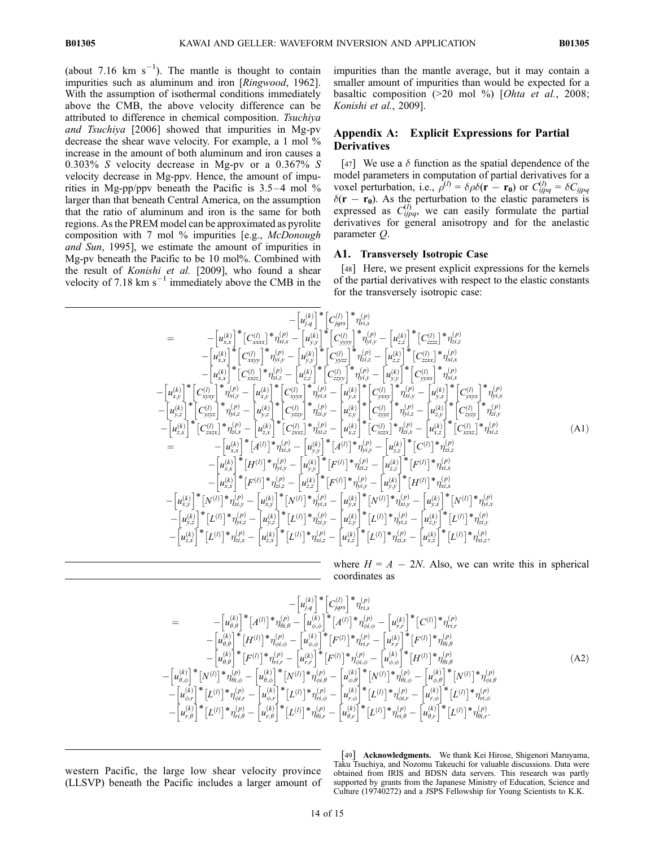(about 7.16  $km s^{-1}$ ). The mantle is thought to contain impurities such as aluminum and iron [Ringwood, 1962]. With the assumption of isothermal conditions immediately above the CMB, the above velocity difference can be attributed to difference in chemical composition. Tsuchiya and Tsuchiya [2006] showed that impurities in Mg-pv decrease the shear wave velocity. For example, a 1 mol % increase in the amount of both aluminum and iron causes a 0.303% S velocity decrease in Mg-pv or a 0.367% S velocity decrease in Mg-ppv. Hence, the amount of impurities in Mg-pp/ppv beneath the Pacific is  $3.5-4$  mol % larger than that beneath Central America, on the assumption that the ratio of aluminum and iron is the same for both regions. As the PREM model can be approximated as pyrolite composition with 7 mol % impurities [e.g., McDonough and Sun, 1995], we estimate the amount of impurities in Mg-pv beneath the Pacific to be 10 mol%. Combined with the result of Konishi et al. [2009], who found a shear velocity of 7.18  $\text{km s}^{-1}$  immediately above the CMB in the

impurities than the mantle average, but it may contain a smaller amount of impurities than would be expected for a basaltic composition (>20 mol %) [Ohta et al., 2008; Konishi et al., 2009].

# Appendix A: Explicit Expressions for Partial **Derivatives**

[47] We use a  $\delta$  function as the spatial dependence of the model parameters in computation of partial derivatives for a voxel perturbation, i.e.,  $\rho^{(l)} = \delta \rho \delta(\mathbf{r} - \mathbf{r_0})$  or  $C_{ijpq}^{(l)} = \delta C_{ijpq}$  $\delta(\mathbf{r} - \mathbf{r_0})$ . As the perturbation to the elastic parameters is expressed as  $C_{ijpq}^{(l)}$ , we can easily formulate the partial derivatives for general anisotropy and for the anelastic parameter Q.

## A1. Transversely Isotropic Case

[48] Here, we present explicit expressions for the kernels of the partial derivatives with respect to the elastic constants for the transversely isotropic case:

$$
-\left[u_{x,x}^{(k)}\right]^* \left[C_{xxx}^{(l)}\right]^* \left[C_{yy}^{(l)}\right]^* \eta_{r,i}^{(p)} \n= \left[u_{x,x}^{(k)}\right]^* \left[C_{xxx}^{(l)}\right]^* \eta_{r,i}^{(p)} - \left[u_{y,y}^{(k)}\right]^* \left[C_{yy}^{(l)}\right]^* \eta_{r,i}^{(p)} - \left[u_{z,z}^{(k)}\right]^* \left[C_{zzz}^{(l)}\right]^* \eta_{z,i}^{(p)} \n- \left[u_{x,y}^{(k)}\right]^* \left[C_{xxx}^{(l)}\right]^* \eta_{r,i}^{(p)} - \left[u_{y,y}^{(k)}\right]^* \left[C_{yy}^{(l)}\right]^* \eta_{z,i}^{(p)} - \left[u_{z,z}^{(k)}\right]^* \left[C_{zzx}^{(l)}\right]^* \eta_{z,i}^{(p)} \n- \left[u_{x,y}^{(k)}\right]^* \left[C_{xxx}^{(l)}\right]^* \eta_{z,i}^{(p)} - \left[u_{x,y}^{(k)}\right]^* \left[C_{xy}^{(l)}\right]^* \eta_{y,i}^{(p)} - \left[u_{y,y}^{(k)}\right]^* \left[C_{xyxx}^{(l)}\right]^* \eta_{z,i}^{(p)} \n- \left[u_{x,y}^{(k)}\right]^* \left[C_{xyxy}^{(l)}\right]^* \eta_{x,i}^{(p)} - \left[u_{x,y}^{(k)}\right]^* \left[C_{xyxy}^{(l)}\right]^* \eta_{y,i}^{(p)} - \left[u_{y,x}^{(k)}\right]^* \left[C_{yxxy}^{(l)}\right]^* \eta_{z,i}^{(p)} \n- \left[u_{y,z}^{(k)}\right]^* \left[C_{yyz}^{(l)}\right]^* \eta_{y,i}^{(p)} - \left[u_{y,z}^{(k)}\right]^* \left[C_{xyxy}^{(l)}\right]^* \eta_{z,i}^{(p)} - \left[u_{y,y}^{(k)}\right]^* \left[C_{xyxy}^{(l)}\right]^* \eta_{z,i}^{(p)} - \left[u_{z,y}^{(k)}\right]^* \left[C_{xyxy}^{(l)}\right]^* \eta_{z,i}^{(p)} \n- \left[u_{z,x}^{(k)}\right]^* \left[C_{zzx}^{(l)}\right]^* \
$$

where  $H = A - 2N$ . Also, we can write this in spherical coordinates as

$$
-\left[u_{\beta,q}^{(k)}\right]^* \left[C_{jqrs}^{(l)}\right]^* \eta_{ri,s}^{(p)} \n= -\left[u_{\theta,\theta}^{(k)}\right]^* \left[A^{(l)}\right]^* \eta_{\theta i,\theta}^{(p)} - \left[u_{\phi,\phi}^{(k)}\right]^* \left[A^{(l)}\right]^* \eta_{\phi i,\phi}^{(p)} - \left[u_{r,r}^{(k)}\right]^* \left[C^{(l)}\right]^* \eta_{ri,r}^{(p)} \n- \left[u_{\theta,\theta}^{(k)}\right]^* \left[H^{(l)}\right]^* \eta_{\phi i,\phi}^{(p)} - \left[u_{\phi,\phi}^{(k)}\right]^* \left[F^{(l)}\right]^* \eta_{ri,r}^{(p)} - \left[u_{r,r}^{(k)}\right]^* \left[F^{(l)}\right]^* \eta_{\theta i,\theta}^{(p)} \n- \left[u_{\theta,\theta}^{(k)}\right]^* \left[F^{(l)}\right]^* \eta_{ri,r}^{(p)} - \left[u_{r,r}^{(k)}\right]^* \left[F^{(l)}\right]^* \eta_{\phi i,\phi}^{(p)} - \left[u_{\phi,\phi}^{(k)}\right]^* \left[H^{(l)}\right]^* \eta_{\theta i,\theta}^{(p)} \n- \left[u_{\theta,\phi}^{(k)}\right]^* \left[N^{(l)}\right]^* \eta_{\theta i,\phi}^{(p)} - \left[u_{r,r}^{(k)}\right]^* \left[N^{(l)}\right]^* \eta_{\theta i,\phi}^{(p)} - \left[u_{\phi,\theta}^{(k)}\right]^* \left[N^{(l)}\right]^* \eta_{\theta i,\theta}^{(p)} - \left[u_{\phi,\theta}^{(k)}\right]^* \left[N^{(l)}\right]^* \eta_{\theta i,\theta}^{(p)} \n- \left[u_{\phi,r}^{(k)}\right]^* \left[L^{(l)}\right]^* \eta_{\phi i,r}^{(p)} - \left[u_{\phi,r}^{(k)}\right]^* \left[L^{(l)}\right]^* \eta_{ri,\phi}^{(p)} - \left[u_{r,\phi}^{(k)}\right]^* \left[L^{(l)}\right]^* \eta_{\theta i,r}^{(p)} - \left[u_{r,\phi}^{(k)}\right]^* \left[L^{(l)}\right]^* \eta_{ri,\phi}^{(p)} \n- \left[u_{
$$

western Pacific, the large low shear velocity province (LLSVP) beneath the Pacific includes a larger amount of

[49] Acknowledgments. We thank Kei Hirose, Shigenori Maruyama, Taku Tsuchiya, and Nozomu Takeuchi for valuable discussions. Data were obtained from IRIS and BDSN data servers. This research was partly supported by grants from the Japanese Ministry of Education, Science and Culture (19740272) and a JSPS Fellowship for Young Scientists to K.K.